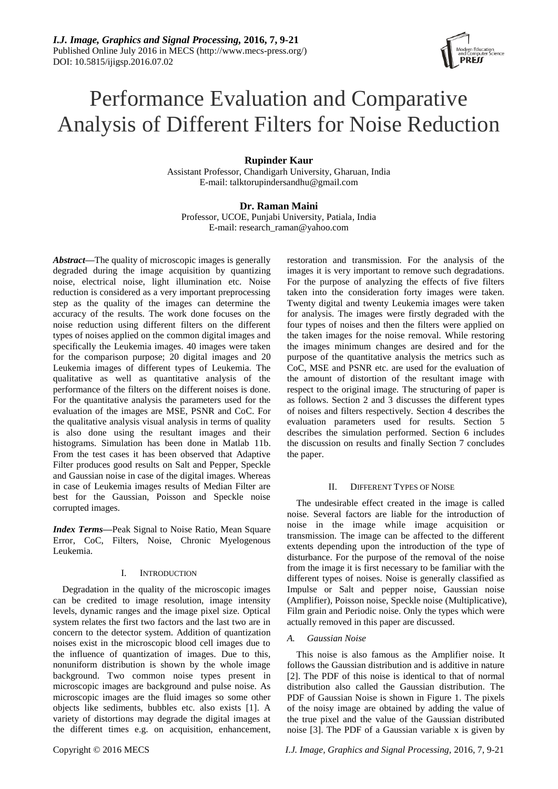# Performance Evaluation and Comparative Analysis of Different Filters for Noise Reduction

# **Rupinder Kaur**

Assistant Professor, Chandigarh University, Gharuan, India E-mail: [talktorupindersandhu@gmail.com](mailto:talktorupindersandhu@gmail.com)

# **Dr. Raman Maini**

Professor, UCOE, Punjabi University, Patiala, India E-mail: [research\\_raman@yahoo.com](mailto:research_raman@yahoo.com)

*Abstract***—**The quality of microscopic images is generally degraded during the image acquisition by quantizing noise, electrical noise, light illumination etc. Noise reduction is considered as a very important preprocessing step as the quality of the images can determine the accuracy of the results. The work done focuses on the noise reduction using different filters on the different types of noises applied on the common digital images and specifically the Leukemia images. 40 images were taken for the comparison purpose; 20 digital images and 20 Leukemia images of different types of Leukemia. The qualitative as well as quantitative analysis of the performance of the filters on the different noises is done. For the quantitative analysis the parameters used for the evaluation of the images are MSE, PSNR and CoC. For the qualitative analysis visual analysis in terms of quality is also done using the resultant images and their histograms. Simulation has been done in Matlab 11b. From the test cases it has been observed that Adaptive Filter produces good results on Salt and Pepper, Speckle and Gaussian noise in case of the digital images. Whereas in case of Leukemia images results of Median Filter are best for the Gaussian, Poisson and Speckle noise corrupted images.

*Index Terms***—**Peak Signal to Noise Ratio, Mean Square Error, CoC, Filters, Noise, Chronic Myelogenous Leukemia.

# I. INTRODUCTION

Degradation in the quality of the microscopic images can be credited to image resolution, image intensity levels, dynamic ranges and the image pixel size. Optical system relates the first two factors and the last two are in concern to the detector system. Addition of quantization noises exist in the microscopic blood cell images due to the influence of quantization of images. Due to this, nonuniform distribution is shown by the whole image background. Two common noise types present in microscopic images are background and pulse noise. As microscopic images are the fluid images so some other objects like sediments, bubbles etc. also exists [1]. A variety of distortions may degrade the digital images at the different times e.g. on acquisition, enhancement,

restoration and transmission. For the analysis of the images it is very important to remove such degradations. For the purpose of analyzing the effects of five filters taken into the consideration forty images were taken. Twenty digital and twenty Leukemia images were taken for analysis. The images were firstly degraded with the four types of noises and then the filters were applied on the taken images for the noise removal. While restoring the images minimum changes are desired and for the purpose of the quantitative analysis the metrics such as CoC, MSE and PSNR etc. are used for the evaluation of the amount of distortion of the resultant image with respect to the original image. The structuring of paper is as follows. Section 2 and 3 discusses the different types of noises and filters respectively. Section 4 describes the evaluation parameters used for results. Section 5 describes the simulation performed. Section 6 includes the discussion on results and finally Section 7 concludes the paper.

## II. DIFFERENT TYPES OF NOISE

The undesirable effect created in the image is called noise. Several factors are liable for the introduction of noise in the image while image acquisition or transmission. The image can be affected to the different extents depending upon the introduction of the type of disturbance. For the purpose of the removal of the noise from the image it is first necessary to be familiar with the different types of noises. Noise is generally classified as Impulse or Salt and pepper noise, Gaussian noise (Amplifier), Poisson noise, Speckle noise (Multiplicative), Film grain and Periodic noise. Only the types which were actually removed in this paper are discussed.

# *A. Gaussian Noise*

This noise is also famous as the Amplifier noise. It follows the Gaussian distribution and is additive in nature [2]. The PDF of this noise is identical to that of normal distribution also called the Gaussian distribution. The PDF of Gaussian Noise is shown in Figure 1. The pixels of the noisy image are obtained by adding the value of the true pixel and the value of the Gaussian distributed noise [3]. The PDF of a Gaussian variable x is given by

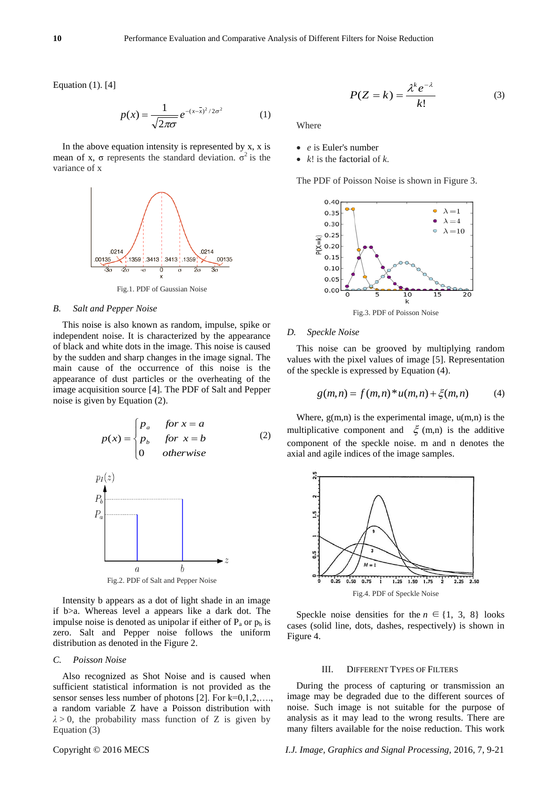Equation (1). [4]

$$
p(x) = \frac{1}{\sqrt{2\pi\sigma}} e^{-(x-\bar{x})^2/2\sigma^2}
$$
 (1)

In the above equation intensity is represented by  $x$ ,  $x$  is mean of x,  $\sigma$  represents the standard deviation.  $\sigma^2$  is the variance of x



Fig.1. PDF of Gaussian Noise

#### *B. Salt and Pepper Noise*

This noise is also known as random, impulse, spike or independent noise. It is characterized by the appearance of black and white dots in the image. This noise is caused by the sudden and sharp changes in the image signal. The main cause of the occurrence of this noise is the appearance of dust particles or the overheating of the image acquisition source [4]. The PDF of Salt and Pepper noise is given by Equation (2).

$$
p(x) = \begin{cases} p_a & \text{for } x = a \\ p_b & \text{for } x = b \\ 0 & \text{otherwise} \end{cases}
$$
 (2)  

$$
p_I(z)
$$



Intensity b appears as a dot of light shade in an image if b>a. Whereas level a appears like a dark dot. The impulse noise is denoted as unipolar if either of  $P_a$  or  $p_b$  is zero. Salt and Pepper noise follows the uniform distribution as denoted in the Figure 2.

## *C. Poisson Noise*

Also recognized as Shot Noise and is caused when sufficient statistical information is not provided as the sensor senses less number of photons [2]. For k=0,1,2,…., a random variable Z have a Poisson distribution with  $\lambda$  > 0, the probability mass function of Z is given by Equation (3)

$$
P(Z = k) = \frac{\lambda^k e^{-\lambda}}{k!}
$$
 (3)

Where

- *e* is Euler's number
- *k*! is the factorial of *k*.

The PDF of Poisson Noise is shown in Figure 3.



#### *D. Speckle Noise*

This noise can be grooved by multiplying random values with the pixel values of image [5]. Representation of the speckle is expressed by Equation (4).

$$
g(m,n) = f(m,n) * u(m,n) + \xi(m,n)
$$
 (4)

Where,  $g(m,n)$  is the experimental image,  $u(m,n)$  is the multiplicative component and  $\xi$  (m,n) is the additive component of the speckle noise. m and n denotes the axial and agile indices of the image samples.



Speckle noise densities for the  $n \in \{1, 3, 8\}$  looks cases (solid line, dots, dashes, respectively) is shown in Figure 4.

#### III. DIFFERENT TYPES OF FILTERS

During the process of capturing or transmission an image may be degraded due to the different sources of noise. Such image is not suitable for the purpose of analysis as it may lead to the wrong results. There are many filters available for the noise reduction. This work

Copyright © 2016 MECS *I.J. Image, Graphics and Signal Processing,* 2016, 7, 9-21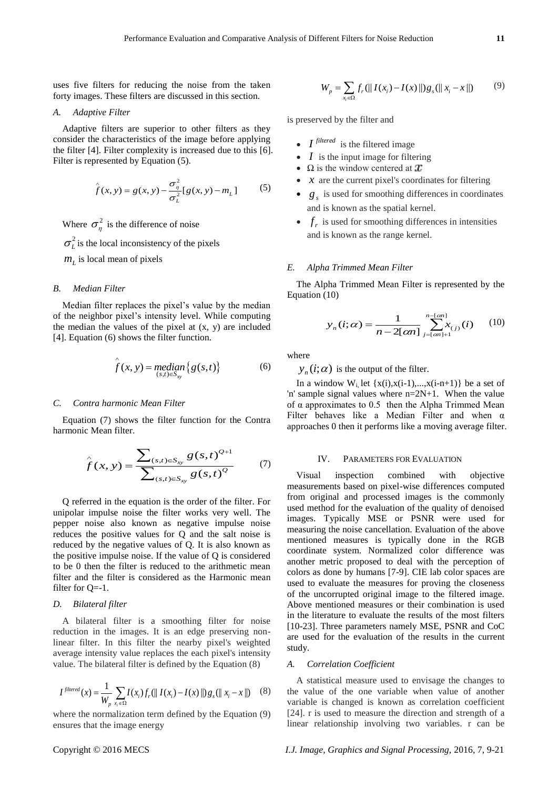uses five filters for reducing the noise from the taken forty images. These filters are discussed in this section.

#### *A. Adaptive Filter*

Adaptive filters are superior to other filters as they consider the characteristics of the image before applying the filter [4]. Filter complexity is increased due to this [6]. Filter is represented by Equation (5).

$$
\hat{f}(x, y) = g(x, y) - \frac{\sigma_{\eta}^2}{\sigma_L^2} [g(x, y) - m_L]
$$
 (5)

Where  $\sigma_{\eta}^2$  is the difference of noise

 $\sigma_L^2$  is the local inconsistency of the pixels

*mL* is local mean of pixels

#### *B. Median Filter*

Median filter replaces the pixel's value by the median of the neighbor pixel's intensity level. While computing the median the values of the pixel at (x, y) are included [4]. Equation (6) shows the filter function.

$$
\hat{f}(x, y) = \underset{(s,t)\in S_{xy}}{\text{median}} \{g(s,t)\}\tag{6}
$$

#### *C. Contra harmonic Mean Filter*

Equation (7) shows the filter function for the Contra harmonic Mean filter.

$$
\hat{f}(x, y) = \frac{\sum_{(s,t) \in S_{xy}} g(s,t)^{Q+1}}{\sum_{(s,t) \in S_{xy}} g(s,t)^{Q}}
$$
(7)

Q referred in the equation is the order of the filter. For unipolar impulse noise the filter works very well. The pepper noise also known as negative impulse noise reduces the positive values for Q and the salt noise is reduced by the negative values of Q. It is also known as the positive impulse noise. If the value of Q is considered to be 0 then the filter is reduced to the arithmetic mean filter and the filter is considered as the Harmonic mean filter for Q=-1.

## *D. Bilateral filter*

A bilateral filter is a smoothing filter for noise reduction in the images. It is an edge preserving nonlinear filter. In this filter the nearby pixel's weighted average intensity value replaces the each pixel's intensity value. The bilateral filter is defined by the Equation (8)

$$
I^{filtered}(x) = \frac{1}{W_p} \sum_{x_i \in \Omega} I(x_i) f_r(\| I(x_i) - I(x) \|) g_s(\| x_i - x \|)
$$
 (8)

where the normalization term defined by the Equation (9) ensures that the image energy

$$
W_p = \sum_{x_i \in \Omega} f_r(||I(x_i) - I(x)||)g_s(||x_i - x||)
$$
(9)

is preserved by the filter and

- $I^{filtered}$  is the filtered image
- *I* is the input image for filtering
- $\Omega$  is the window centered at  $\mathcal{X}$
- *x* are the current pixel's coordinates for filtering
- $g_s$  is used for smoothing differences in coordinates and is known as the spatial kernel.
- $f_r$  is used for smoothing differences in intensities and is known as the range kernel.

#### *E. Alpha Trimmed Mean Filter*

The Alpha Trimmed Mean Filter is represented by the Equation (10)

$$
y_n(i;\alpha) = \frac{1}{n - 2[\alpha n]} \sum_{j = [\alpha n] + 1}^{n - [\alpha n]} x_{(j)}(i) \qquad (10)
$$

where

 $y_n(i; \alpha)$  is the output of the filter.

In a window  $W_i$  let  $\{x(i),x(i-1),...,x(i-n+1)\}$  be a set of 'n' sample signal values where n=2N+1. When the value of α approximates to 0.5 then the Alpha Trimmed Mean Filter behaves like a Median Filter and when α approaches 0 then it performs like a moving average filter.

#### IV. PARAMETERS FOR EVALUATION

Visual inspection combined with objective measurements based on pixel-wise differences computed from original and processed images is the commonly used method for the evaluation of the quality of denoised images. Typically MSE or PSNR were used for measuring the noise cancellation. Evaluation of the above mentioned measures is typically done in the RGB coordinate system. Normalized color difference was another metric proposed to deal with the perception of colors as done by humans [7-9]. CIE lab color spaces are used to evaluate the measures for proving the closeness of the uncorrupted original image to the filtered image. Above mentioned measures or their combination is used in the literature to evaluate the results of the most filters [10-23]. Three parameters namely MSE, PSNR and CoC are used for the evaluation of the results in the current study.

#### *A. Correlation Coefficient*

A statistical measure used to envisage the changes to the value of the one variable when value of another variable is changed is known as correlation coefficient [24]. r is used to measure the direction and strength of a linear relationship involving two variables. r can be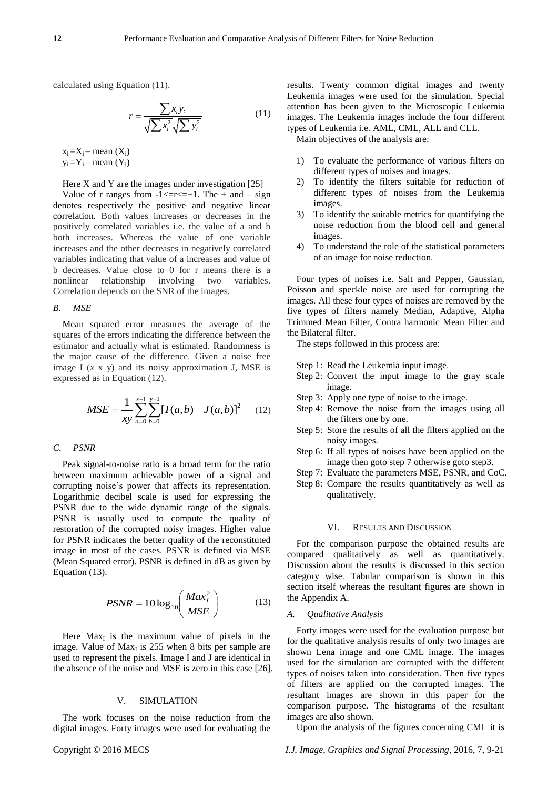calculated using Equation (11).

$$
r = \frac{\sum x_i y_i}{\sqrt{\sum x_i^2} \sqrt{\sum y_i^2}} \tag{11}
$$

 $x_i = X_i$  – mean  $(X_i)$  $y_i = Y_i - \text{mean}(Y_i)$ 

Here X and Y are the images under investigation  $[25]$ 

Value of r ranges from  $-1 \le r \le +1$ . The  $+$  and  $-$  sign denotes respectively the positive and negative linear correlation. Both values increases or decreases in the positively correlated variables i.e. the value of a and b both increases. Whereas the value of one variable increases and the other decreases in negatively correlated variables indicating that value of a increases and value of b decreases. Value close to 0 for r means there is a nonlinear relationship involving two variables. Correlation depends on the SNR of the images.

#### *B. MSE*

Mean squared error measures the average of the squares of the errors indicating the difference between the estimator and actually what is estimated. Randomness is the major cause of the difference. Given a noise free image I (*x* x y) and its noisy approximation J, MSE is expressed as in Equation (12).

$$
MSE = \frac{1}{xy} \sum_{a=0}^{x-1} \sum_{b=0}^{y-1} [I(a,b) - J(a,b)]^2
$$
 (12)

## *C. PSNR*

Peak signal-to-noise ratio is a broad term for the ratio between maximum achievable power of a signal and corrupting noise's power that affects its representation. Logarithmic decibel scale is used for expressing the PSNR due to the wide dynamic range of the signals. PSNR is usually used to compute the quality of restoration of the corrupted noisy images. Higher value for PSNR indicates the better quality of the reconstituted image in most of the cases. PSNR is defined via MSE (Mean Squared error). PSNR is defined in dB as given by Equation (13).

$$
PSNR = 10\log_{10}\left(\frac{Max_i^2}{MSE}\right) \tag{13}
$$

Here  $Max_{I}$  is the maximum value of pixels in the image. Value of  $Max<sub>I</sub>$  is 255 when 8 bits per sample are used to represent the pixels. Image I and J are identical in the absence of the noise and MSE is zero in this case [26].

### V. SIMULATION

The work focuses on the noise reduction from the digital images. Forty images were used for evaluating the results. Twenty common digital images and twenty Leukemia images were used for the simulation. Special attention has been given to the Microscopic Leukemia images. The Leukemia images include the four different types of Leukemia i.e. AML, CML, ALL and CLL.

Main objectives of the analysis are:

- 1) To evaluate the performance of various filters on different types of noises and images.
- 2) To identify the filters suitable for reduction of different types of noises from the Leukemia images.
- 3) To identify the suitable metrics for quantifying the noise reduction from the blood cell and general images.
- 4) To understand the role of the statistical parameters of an image for noise reduction.

Four types of noises i.e. Salt and Pepper, Gaussian, Poisson and speckle noise are used for corrupting the images. All these four types of noises are removed by the five types of filters namely Median, Adaptive, Alpha Trimmed Mean Filter, Contra harmonic Mean Filter and the Bilateral filter.

The steps followed in this process are:

- Step 1: Read the Leukemia input image.
- Step 2: Convert the input image to the gray scale image.
- Step 3: Apply one type of noise to the image.
- Step 4: Remove the noise from the images using all the filters one by one.
- Step 5: Store the results of all the filters applied on the noisy images.
- Step 6: If all types of noises have been applied on the image then goto step 7 otherwise goto step3.
- Step 7: Evaluate the parameters MSE, PSNR, and CoC.
- Step 8: Compare the results quantitatively as well as qualitatively.

#### VI. RESULTS AND DISCUSSION

For the comparison purpose the obtained results are compared qualitatively as well as quantitatively. Discussion about the results is discussed in this section category wise. Tabular comparison is shown in this section itself whereas the resultant figures are shown in the Appendix A.

## *A. Qualitative Analysis*

Forty images were used for the evaluation purpose but for the qualitative analysis results of only two images are shown Lena image and one CML image. The images used for the simulation are corrupted with the different types of noises taken into consideration. Then five types of filters are applied on the corrupted images. The resultant images are shown in this paper for the comparison purpose. The histograms of the resultant images are also shown.

Upon the analysis of the figures concerning CML it is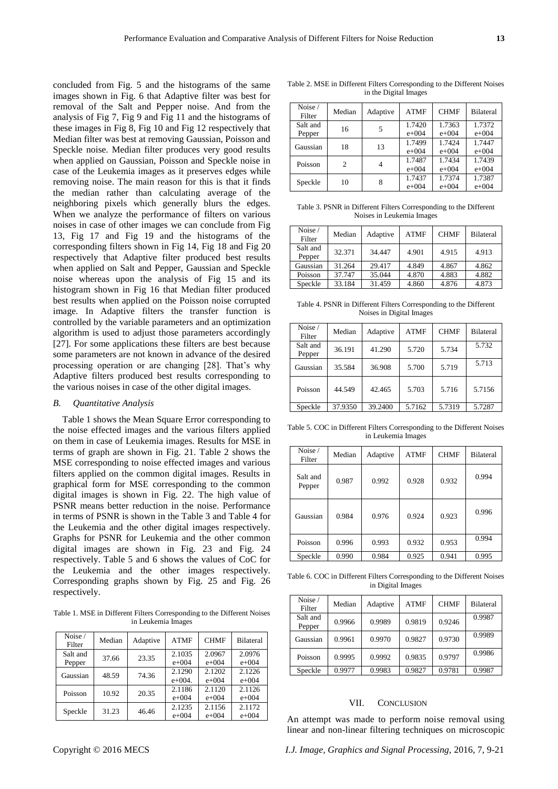concluded from Fig. 5 and the histograms of the same images shown in Fig. 6 that Adaptive filter was best for removal of the Salt and Pepper noise. And from the analysis of Fig 7, Fig 9 and Fig 11 and the histograms of these images in Fig 8, Fig 10 and Fig 12 respectively that Median filter was best at removing Gaussian, Poisson and Speckle noise. Median filter produces very good results when applied on Gaussian, Poisson and Speckle noise in case of the Leukemia images as it preserves edges while removing noise. The main reason for this is that it finds the median rather than calculating average of the neighboring pixels which generally blurs the edges. When we analyze the performance of filters on various noises in case of other images we can conclude from Fig 13, Fig 17 and Fig 19 and the histograms of the corresponding filters shown in Fig 14, Fig 18 and Fig 20 respectively that Adaptive filter produced best results when applied on Salt and Pepper, Gaussian and Speckle noise whereas upon the analysis of Fig 15 and its histogram shown in Fig 16 that Median filter produced best results when applied on the Poisson noise corrupted image. In Adaptive filters the transfer function is controlled by the variable parameters and an optimization algorithm is used to adjust those parameters accordingly [27]. For some applications these filters are best because some parameters are not known in advance of the desired processing operation or are changing [28]. That's why Adaptive filters produced best results corresponding to the various noises in case of the other digital images.

## *B. Quantitative Analysis*

Table 1 shows the Mean Square Error corresponding to the noise effected images and the various filters applied on them in case of Leukemia images. Results for MSE in terms of graph are shown in Fig. 21. Table 2 shows the MSE corresponding to noise effected images and various filters applied on the common digital images. Results in graphical form for MSE corresponding to the common digital images is shown in Fig. 22. The high value of PSNR means better reduction in the noise. Performance in terms of PSNR is shown in the Table 3 and Table 4 for the Leukemia and the other digital images respectively. Graphs for PSNR for Leukemia and the other common digital images are shown in Fig. 23 and Fig. 24 respectively. Table 5 and 6 shows the values of CoC for the Leukemia and the other images respectively. Corresponding graphs shown by Fig. 25 and Fig. 26 respectively.

Table 1. MSE in Different Filters Corresponding to the Different Noises in Leukemia Images

| Noise /<br>Filter  | Median | Adaptive | <b>ATMF</b>         | <b>CHMF</b>         | <b>Bilateral</b>    |
|--------------------|--------|----------|---------------------|---------------------|---------------------|
| Salt and<br>Pepper | 37.66  | 23.35    | 2.1035<br>$e + 004$ | 2.0967<br>$e + 004$ | 2.0976<br>$e + 004$ |
| Gaussian           | 48.59  | 74.36    | 2.1290<br>$e+004.$  | 2.1202<br>$e + 004$ | 2.1226<br>$e + 004$ |
| Poisson            | 10.92  | 20.35    | 2.1186<br>$e + 004$ | 2.1120<br>$e + 004$ | 2.1126<br>$e + 004$ |
| Speckle            | 31.23  | 46.46    | 2.1235<br>$e + 004$ | 2.1156<br>$e + 004$ | 2.1172<br>$e + 004$ |

|                       |  | Table 2. MSE in Different Filters Corresponding to the Different Noises                                                                                                                                       |  |  |  |  |  |
|-----------------------|--|---------------------------------------------------------------------------------------------------------------------------------------------------------------------------------------------------------------|--|--|--|--|--|
| in the Digital Images |  |                                                                                                                                                                                                               |  |  |  |  |  |
|                       |  | $\overline{\text{Noise}}$ $\overline{\text{Noise}}$ $\overline{\text{Mass}}$ $\overline{\text{Mass}}$ $\overline{\text{Mass}}$ $\overline{\text{MSE}}$ $\overline{\text{CHME}}$ $\overline{\text{Bilateral}}$ |  |  |  |  |  |

| NO1Se /<br>Filter  | Median | Adaptive | <b>ATMF</b>         | <b>CHMF</b>         | <b>Bilateral</b>    |
|--------------------|--------|----------|---------------------|---------------------|---------------------|
| Salt and<br>Pepper | 16     | 5        | 1.7420<br>$e + 004$ | 1.7363<br>$e + 004$ | 1.7372<br>$e + 004$ |
| Gaussian           | 18     | 13       | 1.7499<br>$e + 004$ | 1.7424<br>$e + 004$ | 1.7447<br>$e + 004$ |
| Poisson            | 2      |          | 1.7487<br>$e + 004$ | 1.7434<br>$e + 004$ | 1.7439<br>$e + 004$ |
| Speckle            | 10     | 8        | 1.7437<br>$e + 004$ | 1.7374<br>$e + 004$ | 1.7387<br>$e + 004$ |

Table 3. PSNR in Different Filters Corresponding to the Different Noises in Leukemia Images

| Noise /<br>Filter  | Median | Adaptive | <b>ATMF</b> | <b>CHMF</b> | <b>Bilateral</b> |
|--------------------|--------|----------|-------------|-------------|------------------|
| Salt and<br>Pepper | 32.371 | 34.447   | 4.901       | 4.915       | 4.913            |
| Gaussian           | 31.264 | 29.417   | 4.849       | 4.867       | 4.862            |
| Poisson            | 37.747 | 35.044   | 4.870       | 4.883       | 4.882            |
| Speckle            | 33.184 | 31.459   | 4.860       | 4.876       | 4.873            |

Table 4. PSNR in Different Filters Corresponding to the Different Noises in Digital Images

| Noise /<br>Filter  | Median  | Adaptive | <b>ATMF</b> | <b>CHMF</b> | <b>Bilateral</b> |
|--------------------|---------|----------|-------------|-------------|------------------|
| Salt and<br>Pepper | 36.191  | 41.290   | 5.720       | 5.734       | 5.732            |
| Gaussian           | 35.584  | 36.908   | 5.700       | 5.719       | 5.713            |
| Poisson            | 44.549  | 42.465   | 5.703       | 5.716       | 5.7156           |
| Speckle            | 37.9350 | 39.2400  | 5.7162      | 5.7319      | 5.7287           |

Table 5. COC in Different Filters Corresponding to the Different Noises in Leukemia Images

| Noise /<br>Filter  | Median | Adaptive | <b>ATMF</b> | <b>CHMF</b> | <b>Bilateral</b> |
|--------------------|--------|----------|-------------|-------------|------------------|
| Salt and<br>Pepper | 0.987  | 0.992    | 0.928       | 0.932       | 0.994            |
| Gaussian           | 0.984  | 0.976    | 0.924       | 0.923       | 0.996            |
| Poisson            | 0.996  | 0.993    | 0.932       | 0.953       | 0.994            |
| Speckle            | 0.990  | 0.984    | 0.925       | 0.941       | 0.995            |

Table 6. COC in Different Filters Corresponding to the Different Noises in Digital Images

| Noise /<br>Filter  | Median | Adaptive | <b>ATMF</b> | <b>CHMF</b> | <b>Bilateral</b> |
|--------------------|--------|----------|-------------|-------------|------------------|
| Salt and<br>Pepper | 0.9966 | 0.9989   | 0.9819      | 0.9246      | 0.9987           |
| Gaussian           | 0.9961 | 0.9970   | 0.9827      | 0.9730      | 0.9989           |
| Poisson            | 0.9995 | 0.9992   | 0.9835      | 0.9797      | 0.9986           |
| Speckle            | 0.9977 | 0.9983   | 0.9827      | 0.9781      | 0.9987           |

# VII. CONCLUSION

An attempt was made to perform noise removal using linear and non-linear filtering techniques on microscopic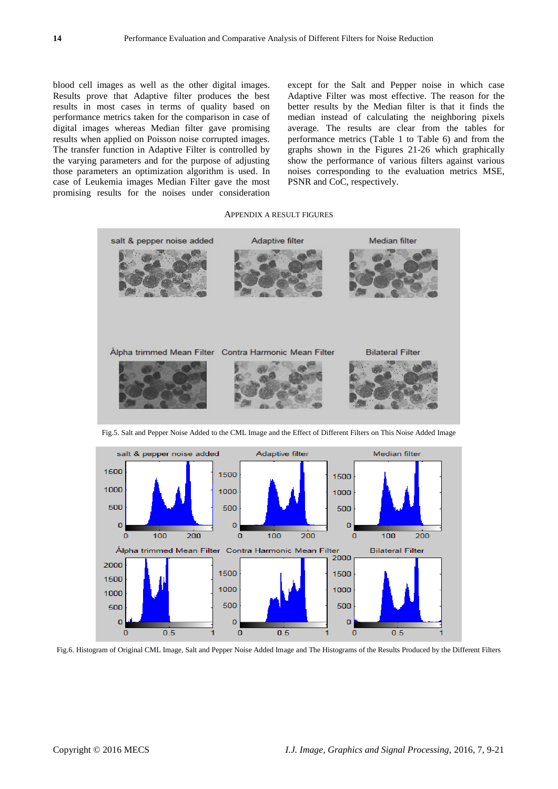blood cell images as well as the other digital images. Results prove that Adaptive filter produces the best results in most cases in terms of quality based on performance metrics taken for the comparison in case of digital images whereas Median filter gave promising results when applied on Poisson noise corrupted images. The transfer function in Adaptive Filter is controlled by the varying parameters and for the purpose of adjusting those parameters an optimization algorithm is used. In case of Leukemia images Median Filter gave the most promising results for the noises under consideration except for the Salt and Pepper noise in which case Adaptive Filter was most effective. The reason for the better results by the Median filter is that it finds the median instead of calculating the neighboring pixels average. The results are clear from the tables for performance metrics (Table 1 to Table 6) and from the graphs shown in the Figures 21-26 which graphically show the performance of various filters against various noises corresponding to the evaluation metrics MSE, PSNR and CoC, respectively.

#### APPENDIX A RESULT FIGURES



Fig.5. Salt and Pepper Noise Added to the CML Image and the Effect of Different Filters on This Noise Added Image



Fig.6. Histogram of Original CML Image, Salt and Pepper Noise Added Image and The Histograms of the Results Produced by the Different Filters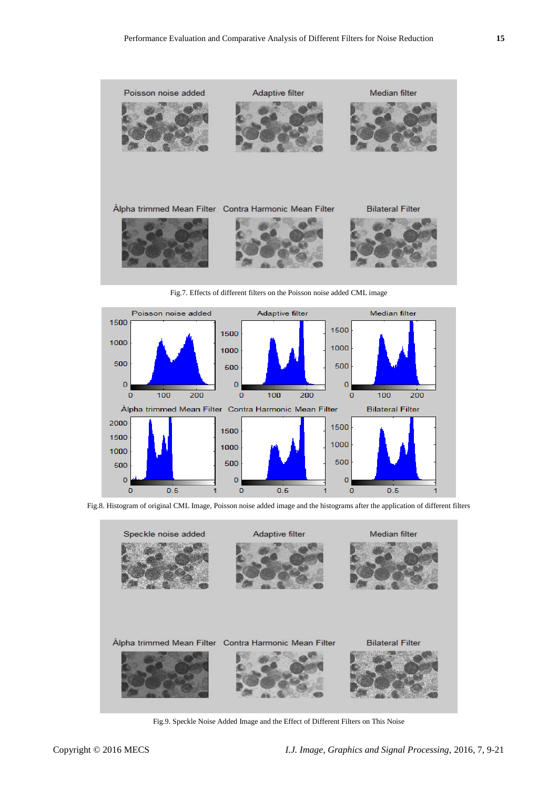

Fig.7. Effects of different filters on the Poisson noise added CML image



Fig.8. Histogram of original CML Image, Poisson noise added image and the histograms after the application of different filters



Fig.9. Speckle Noise Added Image and the Effect of Different Filters on This Noise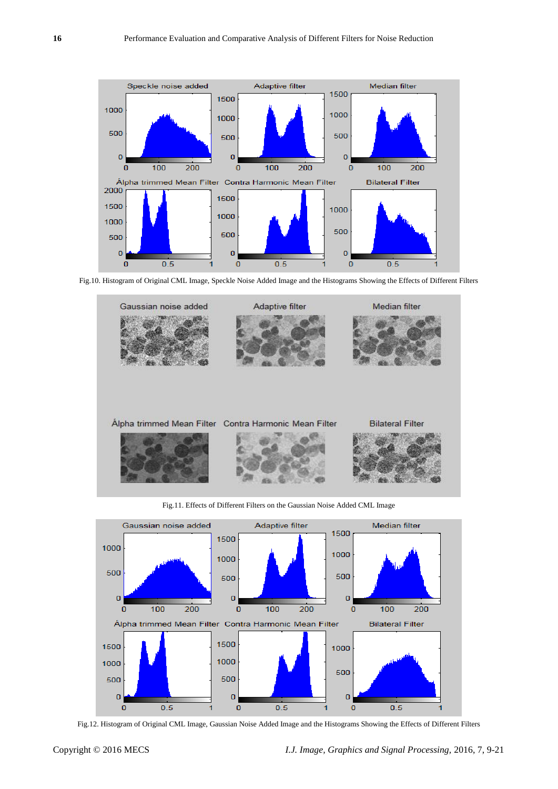

Fig.10. Histogram of Original CML Image, Speckle Noise Added Image and the Histograms Showing the Effects of Different Filters



Fig.11. Effects of Different Filters on the Gaussian Noise Added CML Image



Fig.12. Histogram of Original CML Image, Gaussian Noise Added Image and the Histograms Showing the Effects of Different Filters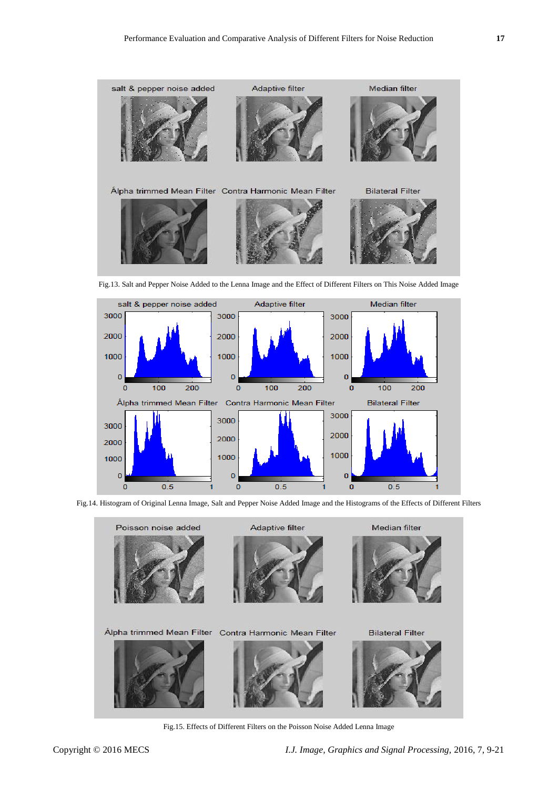

Fig.13. Salt and Pepper Noise Added to the Lenna Image and the Effect of Different Filters on This Noise Added Image



Fig.14. Histogram of Original Lenna Image, Salt and Pepper Noise Added Image and the Histograms of the Effects of Different Filters



Fig.15. Effects of Different Filters on the Poisson Noise Added Lenna Image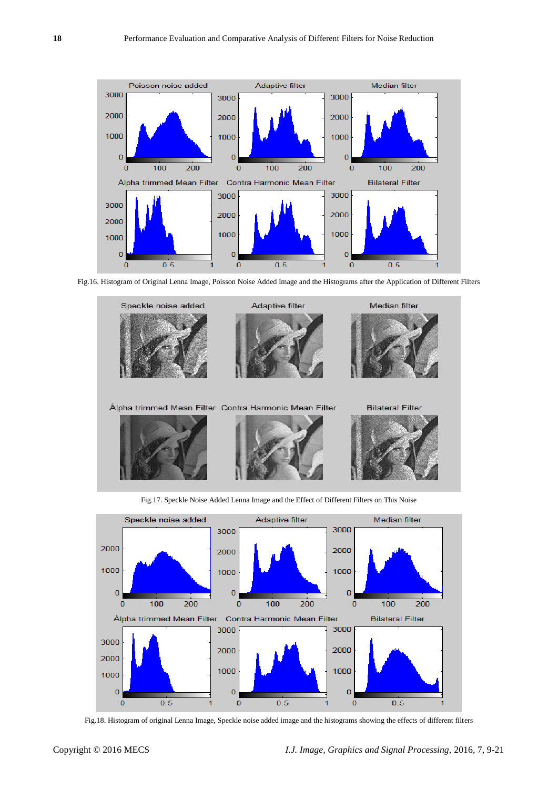

Fig.16. Histogram of Original Lenna Image, Poisson Noise Added Image and the Histograms after the Application of Different Filters





Fig.18. Histogram of original Lenna Image, Speckle noise added image and the histograms showing the effects of different filters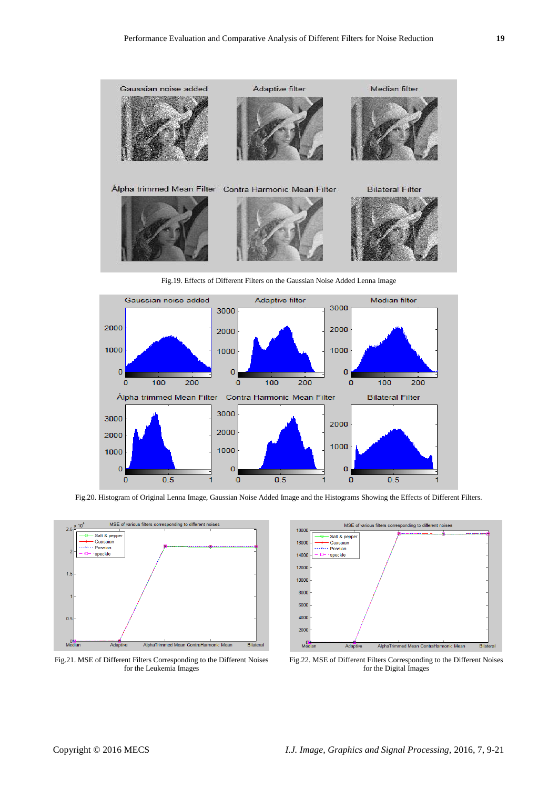

Fig.19. Effects of Different Filters on the Gaussian Noise Added Lenna Image



Fig.20. Histogram of Original Lenna Image, Gaussian Noise Added Image and the Histograms Showing the Effects of Different Filters.



Fig.21. MSE of Different Filters Corresponding to the Different Noises for the Leukemia Images



Fig.22. MSE of Different Filters Corresponding to the Different Noises for the Digital Images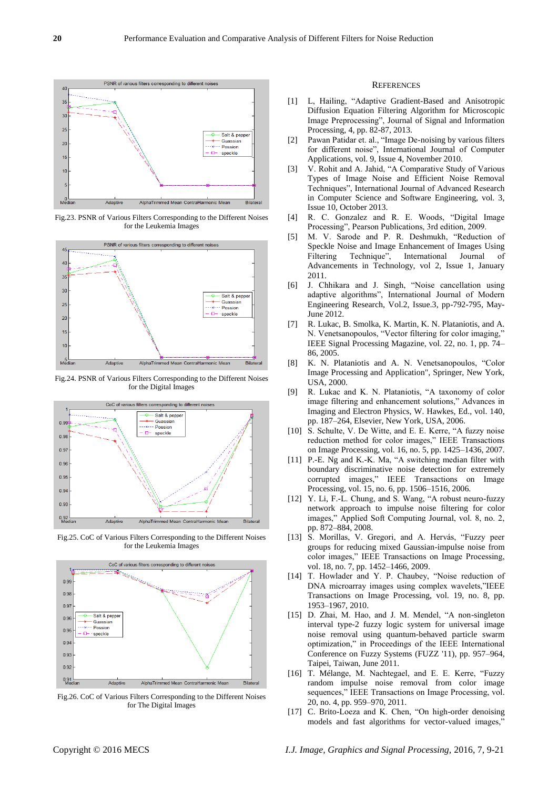

Fig.23. PSNR of Various Filters Corresponding to the Different Noises for the Leukemia Images



Fig.24. PSNR of Various Filters Corresponding to the Different Noises for the Digital Images



Fig.25. CoC of Various Filters Corresponding to the Different Noises for the Leukemia Images



Fig.26. CoC of Various Filters Corresponding to the Different Noises for The Digital Images

#### **REFERENCES**

- [1] L, Hailing, "Adaptive Gradient-Based and Anisotropic Diffusion Equation Filtering Algorithm for Microscopic Image Preprocessing", Journal of Signal and Information Processing, 4, pp. 82-87, 2013.
- [2] Pawan Patidar et. al., "Image De-noising by various filters for different noise", International Journal of Computer Applications, vol. 9, Issue 4, November 2010.
- [3] V. Rohit and A. Jahid, "A Comparative Study of Various Types of Image Noise and Efficient Noise Removal Techniques", International Journal of Advanced Research in Computer Science and Software Engineering, vol. 3, Issue 10, October 2013.
- [4] R. C. Gonzalez and R. E. Woods, "Digital Image Processing", Pearson Publications, 3rd edition, 2009.
- [5] M. V. Sarode and P. R. Deshmukh, "Reduction of Speckle Noise and Image Enhancement of Images Using Filtering Technique", International Journal of Advancements in Technology, vol 2, Issue 1, January 2011.
- [6] J. Chhikara and J. Singh, "Noise cancellation using adaptive algorithms", International Journal of Modern Engineering Research, Vol.2, Issue.3, pp-792-795, May-June 2012.
- [7] R. Lukac, B. Smolka, K. Martin, K. N. Plataniotis, and A. N. Venetsanopoulos, "Vector filtering for color imaging," IEEE Signal Processing Magazine, vol. 22, no. 1, pp. 74– 86, 2005.
- [8] K. N. Plataniotis and A. N. Venetsanopoulos, "Color Image Processing and Application", Springer, New York, USA, 2000.
- [9] R. Lukac and K. N. Plataniotis, "A taxonomy of color image filtering and enhancement solutions," Advances in Imaging and Electron Physics, W. Hawkes, Ed., vol. 140, pp. 187–264, Elsevier, New York, USA, 2006.
- [10] S. Schulte, V. De Witte, and E. E. Kerre, "A fuzzy noise reduction method for color images," IEEE Transactions on Image Processing, vol. 16, no. 5, pp. 1425–1436, 2007.
- [11] P.-E. Ng and K.-K. Ma, "A switching median filter with boundary discriminative noise detection for extremely corrupted images," IEEE Transactions on Image Processing, vol. 15, no. 6, pp. 1506–1516, 2006.
- [12] Y. Li, F.-L. Chung, and S. Wang, "A robust neuro-fuzzy network approach to impulse noise filtering for color images," Applied Soft Computing Journal, vol. 8, no. 2, pp. 872–884, 2008.
- [13] S. Morillas, V. Gregori, and A. Hervás, "Fuzzy peer groups for reducing mixed Gaussian-impulse noise from color images," IEEE Transactions on Image Processing, vol. 18, no. 7, pp. 1452–1466, 2009.
- [14] T. Howlader and Y. P. Chaubey, "Noise reduction of DNA microarray images using complex wavelets,"IEEE Transactions on Image Processing, vol. 19, no. 8, pp. 1953–1967, 2010.
- [15] D. Zhai, M. Hao, and J. M. Mendel, "A non-singleton interval type-2 fuzzy logic system for universal image noise removal using quantum-behaved particle swarm optimization," in Proceedings of the IEEE International Conference on Fuzzy Systems (FUZZ '11), pp. 957–964, Taipei, Taiwan, June 2011.
- [16] T. Mélange, M. Nachtegael, and E. E. Kerre, "Fuzzy random impulse noise removal from color image sequences," IEEE Transactions on Image Processing, vol. 20, no. 4, pp. 959–970, 2011.
- [17] C. Brito-Loeza and K. Chen, "On high-order denoising models and fast algorithms for vector-valued images,"